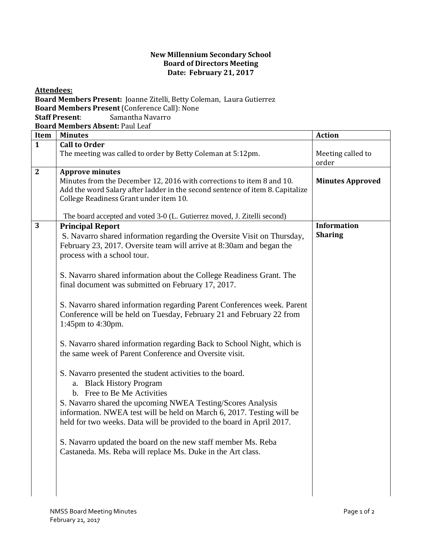## **New Millennium Secondary School Board of Directors Meeting Date: February 21, 2017**

**Board Members Present:** Joanne Zitelli, Betty Coleman, Laura Gutierrez **Board Members Present** (Conference Call): None **Staff Present**: Samantha Navarro **Board Members Absent:** Paul Leaf **Item Minutes Action 1 Call to Order** The meeting was called to order by Betty Coleman at  $5:12 \text{pm}$ . order **2 Approve minutes**  Minutes from the December 12, 2016 with corrections to item 8 and 10. Add the word Salary after ladder in the second sentence of item 8. Capitalize College Readiness Grant under item 10. The board accepted and voted 3-0 (L. Gutierrez moved, J. Zitelli second) **Minutes Approved 3 Principal Report** S. Navarro shared information regarding the Oversite Visit on Thursday, February 23, 2017. Oversite team will arrive at 8:30am and began the process with a school tour. S. Navarro shared information about the College Readiness Grant. The final document was submitted on February 17, 2017. S. Navarro shared information regarding Parent Conferences week. Parent Conference will be held on Tuesday, February 21 and February 22 from 1:45pm to 4:30pm. S. Navarro shared information regarding Back to School Night, which is the same week of Parent Conference and Oversite visit. S. Navarro presented the student activities to the board. a. Black History Program b. Free to Be Me Activities S. Navarro shared the upcoming NWEA Testing/Scores Analysis information. NWEA test will be held on March 6, 2017. Testing will be held for two weeks. Data will be provided to the board in April 2017. S. Navarro updated the board on the new staff member Ms. Reba Castaneda. Ms. Reba will replace Ms. Duke in the Art class. **Information Sharing**

**Attendees:**